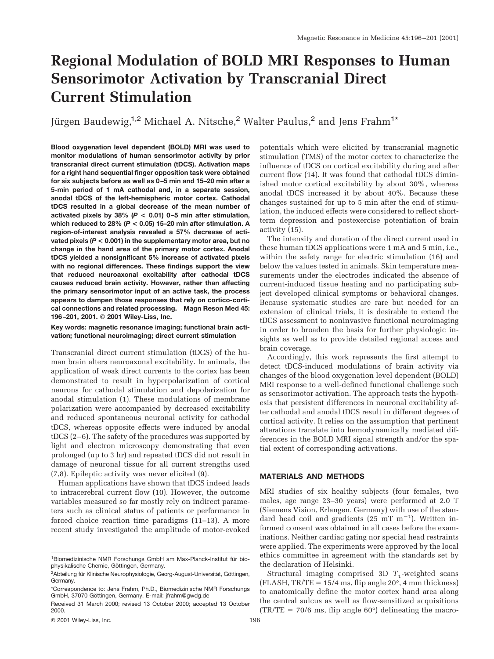# **Regional Modulation of BOLD MRI Responses to Human Sensorimotor Activation by Transcranial Direct Current Stimulation**

Jürgen Baudewig,<sup>1,2</sup> Michael A. Nitsche,<sup>2</sup> Walter Paulus,<sup>2</sup> and Jens Frahm<sup>1\*</sup>

**Blood oxygenation level dependent (BOLD) MRI was used to monitor modulations of human sensorimotor activity by prior transcranial direct current stimulation (tDCS). Activation maps for a right hand sequential finger opposition task were obtained for six subjects before as well as 0–5 min and 15–20 min after a 5-min period of 1 mA cathodal and, in a separate session, anodal tDCS of the left-hemispheric motor cortex. Cathodal tDCS resulted in a global decrease of the mean number of activated pixels by 38% (***P* **< 0.01) 0–5 min after stimulation, which reduced to 28% (***P* **< 0.05) 15–20 min after stimulation. A region-of-interest analysis revealed a 57% decrease of activated pixels (***P* **< 0.001) in the supplementary motor area, but no change in the hand area of the primary motor cortex. Anodal tDCS yielded a nonsignificant 5% increase of activated pixels with no regional differences. These findings support the view that reduced neuroaxonal excitability after cathodal tDCS causes reduced brain activity. However, rather than affecting the primary sensorimotor input of an active task, the process appears to dampen those responses that rely on cortico-cortical connections and related processing. Magn Reson Med 45: 196–201, 2001. © 2001 Wiley-Liss, Inc.**

**Key words: magnetic resonance imaging; functional brain activation; functional neuroimaging; direct current stimulation**

Transcranial direct current stimulation (tDCS) of the human brain alters neuroaxonal excitability. In animals, the application of weak direct currents to the cortex has been demonstrated to result in hyperpolarization of cortical neurons for cathodal stimulation and depolarization for anodal stimulation (1). These modulations of membrane polarization were accompanied by decreased excitability and reduced spontaneous neuronal activity for cathodal tDCS, whereas opposite effects were induced by anodal tDCS (2–6). The safety of the procedures was supported by light and electron microscopy demonstrating that even prolonged (up to 3 hr) and repeated tDCS did not result in damage of neuronal tissue for all current strengths used (7,8). Epileptic activity was never elicited (9).

Human applications have shown that tDCS indeed leads to intracerebral current flow (10). However, the outcome variables measured so far mostly rely on indirect parameters such as clinical status of patients or performance in forced choice reaction time paradigms (11–13). A more recent study investigated the amplitude of motor-evoked

potentials which were elicited by transcranial magnetic stimulation (TMS) of the motor cortex to characterize the influence of tDCS on cortical excitability during and after current flow (14). It was found that cathodal tDCS diminished motor cortical excitability by about 30%, whereas anodal tDCS increased it by about 40%. Because these changes sustained for up to 5 min after the end of stimulation, the induced effects were considered to reflect shortterm depression and postexercise potentiation of brain activity (15).

The intensity and duration of the direct current used in these human tDCS applications were 1 mA and 5 min, i.e., within the safety range for electric stimulation (16) and below the values tested in animals. Skin temperature measurements under the electrodes indicated the absence of current-induced tissue heating and no participating subject developed clinical symptoms or behavioral changes. Because systematic studies are rare but needed for an extension of clinical trials, it is desirable to extend the tDCS assessment to noninvasive functional neuroimaging in order to broaden the basis for further physiologic insights as well as to provide detailed regional access and brain coverage.

Accordingly, this work represents the first attempt to detect tDCS-induced modulations of brain activity via changes of the blood oxygenation level dependent (BOLD) MRI response to a well-defined functional challenge such as sensorimotor activation. The approach tests the hypothesis that persistent differences in neuronal excitability after cathodal and anodal tDCS result in different degrees of cortical activity. It relies on the assumption that pertinent alterations translate into hemodynamically mediated differences in the BOLD MRI signal strength and/or the spatial extent of corresponding activations.

# **MATERIALS AND METHODS**

MRI studies of six healthy subjects (four females, two males, age range 23–30 years) were performed at 2.0 T (Siemens Vision, Erlangen, Germany) with use of the standard head coil and gradients  $(25 \text{ mT m}^{-1})$ . Written informed consent was obtained in all cases before the examinations. Neither cardiac gating nor special head restraints were applied. The experiments were approved by the local ethics committee in agreement with the standards set by the declaration of Helsinki.

Structural imaging comprised 3D  $T_1$ -weighted scans (FLASH,  $TR/TE = 15/4$  ms, flip angle 20 $^{\circ}$ , 4 mm thickness) to anatomically define the motor cortex hand area along the central sulcus as well as flow-sensitized acquisitions  $(TR/TE = 70/6$  ms, flip angle 60°) delineating the macro-

<sup>&</sup>lt;sup>1</sup> Biomedizinische NMR Forschungs GmbH am Max-Planck-Institut für biophysikalische Chemie, Göttingen, Germany.

<sup>&</sup>lt;sup>2</sup>Abteilung für Klinische Neurophysiologie, Georg-August-Universität, Göttingen, Germany.

<sup>\*</sup>Correspondence to: Jens Frahm, Ph.D., Biomedizinische NMR Forschungs GmbH, 37070 Göttingen, Germany. E-mail: jfrahm@gwdg.de

Received 31 March 2000; revised 13 October 2000; accepted 13 October 2000.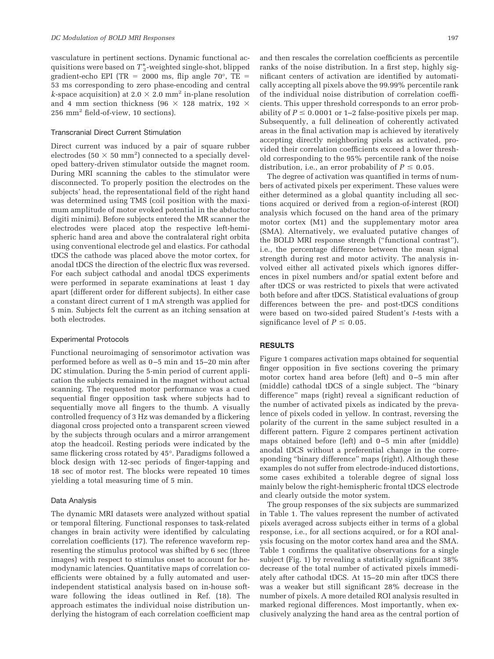vasculature in pertinent sections. Dynamic functional acquisitions were based on  $T_2^*$ -weighted single-shot, blipped gradient-echo EPI (TR = 2000 ms, flip angle 70 $^{\circ}$ , TE = 53 ms corresponding to zero phase-encoding and central *k*-space acquisition) at 2.0  $\times$  2.0 mm<sup>2</sup> in-plane resolution and 4 mm section thickness (96  $\times$  128 matrix, 192  $\times$ 256 mm2 field-of-view, 10 sections).

#### Transcranial Direct Current Stimulation

Direct current was induced by a pair of square rubber electrodes (50  $\times$  50 mm<sup>2</sup>) connected to a specially developed battery-driven stimulator outside the magnet room. During MRI scanning the cables to the stimulator were disconnected. To properly position the electrodes on the subjects' head, the representational field of the right hand was determined using TMS (coil position with the maximum amplitude of motor evoked potential in the abductor digiti minimi). Before subjects entered the MR scanner the electrodes were placed atop the respective left-hemispheric hand area and above the contralateral right orbita using conventional electrode gel and elastics. For cathodal tDCS the cathode was placed above the motor cortex, for anodal tDCS the direction of the electric flux was reversed. For each subject cathodal and anodal tDCS experiments were performed in separate examinations at least 1 day apart (different order for different subjects). In either case a constant direct current of 1 mA strength was applied for 5 min. Subjects felt the current as an itching sensation at both electrodes.

## Experimental Protocols

Functional neuroimaging of sensorimotor activation was performed before as well as 0–5 min and 15–20 min after DC stimulation. During the 5-min period of current application the subjects remained in the magnet without actual scanning. The requested motor performance was a cued sequential finger opposition task where subjects had to sequentially move all fingers to the thumb. A visually controlled frequency of 3 Hz was demanded by a flickering diagonal cross projected onto a transparent screen viewed by the subjects through oculars and a mirror arrangement atop the headcoil. Resting periods were indicated by the same flickering cross rotated by 45°. Paradigms followed a block design with 12-sec periods of finger-tapping and 18 sec of motor rest. The blocks were repeated 10 times yielding a total measuring time of 5 min.

#### Data Analysis

The dynamic MRI datasets were analyzed without spatial or temporal filtering. Functional responses to task-related changes in brain activity were identified by calculating correlation coefficients (17). The reference waveform representing the stimulus protocol was shifted by 6 sec (three images) with respect to stimulus onset to account for hemodynamic latencies. Quantitative maps of correlation coefficients were obtained by a fully automated and userindependent statistical analysis based on in-house software following the ideas outlined in Ref. (18). The approach estimates the individual noise distribution underlying the histogram of each correlation coefficient map and then rescales the correlation coefficients as percentile ranks of the noise distribution. In a first step, highly significant centers of activation are identified by automatically accepting all pixels above the 99.99% percentile rank of the individual noise distribution of correlation coefficients. This upper threshold corresponds to an error probability of  $P \le 0.0001$  or 1–2 false-positive pixels per map. Subsequently, a full delineation of coherently activated areas in the final activation map is achieved by iteratively accepting directly neighboring pixels as activated, provided their correlation coefficients exceed a lower threshold corresponding to the 95% percentile rank of the noise distribution, i.e., an error probability of  $P \leq 0.05$ .

The degree of activation was quantified in terms of numbers of activated pixels per experiment. These values were either determined as a global quantity including all sections acquired or derived from a region-of-interest (ROI) analysis which focused on the hand area of the primary motor cortex (M1) and the supplementary motor area (SMA). Alternatively, we evaluated putative changes of the BOLD MRI response strength ("functional contrast"), i.e., the percentage difference between the mean signal strength during rest and motor activity. The analysis involved either all activated pixels which ignores differences in pixel numbers and/or spatial extent before and after tDCS or was restricted to pixels that were activated both before and after tDCS. Statistical evaluations of group differences between the pre- and post-tDCS conditions were based on two-sided paired Student's *t*-tests with a significance level of  $P \leq 0.05$ .

## **RESULTS**

Figure 1 compares activation maps obtained for sequential finger opposition in five sections covering the primary motor cortex hand area before (left) and 0–5 min after (middle) cathodal tDCS of a single subject. The "binary difference" maps (right) reveal a significant reduction of the number of activated pixels as indicated by the prevalence of pixels coded in yellow. In contrast, reversing the polarity of the current in the same subject resulted in a different pattern. Figure 2 compares pertinent activation maps obtained before (left) and 0–5 min after (middle) anodal tDCS without a preferential change in the corresponding "binary difference" maps (right). Although these examples do not suffer from electrode-induced distortions, some cases exhibited a tolerable degree of signal loss mainly below the right-hemispheric frontal tDCS electrode and clearly outside the motor system.

The group responses of the six subjects are summarized in Table 1. The values represent the number of activated pixels averaged across subjects either in terms of a global response, i.e., for all sections acquired, or for a ROI analysis focusing on the motor cortex hand area and the SMA. Table 1 confirms the qualitative observations for a single subject (Fig. 1) by revealing a statistically significant 38% decrease of the total number of activated pixels immediately after cathodal tDCS. At 15–20 min after tDCS there was a weaker but still significant 28% decrease in the number of pixels. A more detailed ROI analysis resulted in marked regional differences. Most importantly, when exclusively analyzing the hand area as the central portion of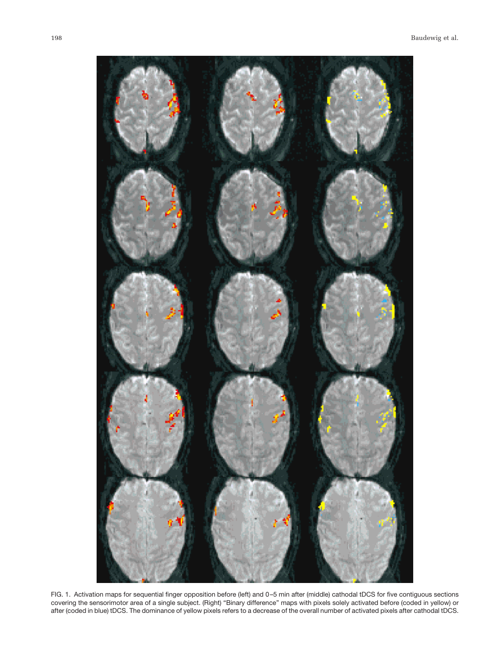

FIG. 1. Activation maps for sequential finger opposition before (left) and 0–5 min after (middle) cathodal tDCS for five contiguous sections covering the sensorimotor area of a single subject. (Right) "Binary difference" maps with pixels solely activated before (coded in yellow) or after (coded in blue) tDCS. The dominance of yellow pixels refers to a decrease of the overall number of activated pixels after cathodal tDCS.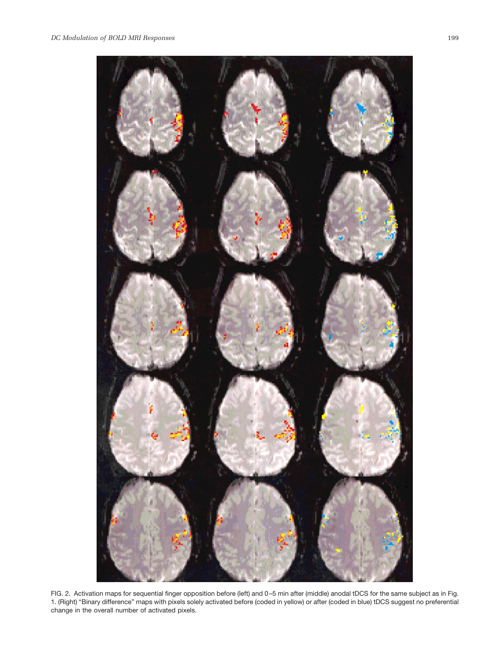



FIG. 2. Activation maps for sequential finger opposition before (left) and 0–5 min after (middle) anodal tDCS for the same subject as in Fig. 1. (Right) "Binary difference" maps with pixels solely activated before (coded in yellow) or after (coded in blue) tDCS suggest no preferential change in the overall number of activated pixels.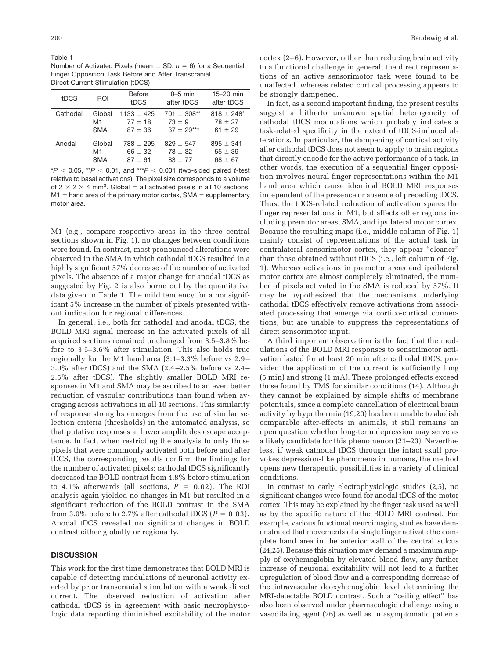Table 1 Number of Activated Pixels (mean  $\pm$  SD,  $n = 6$ ) for a Sequential Finger Opposition Task Before and After Transcranial Direct Current Stimulation (tDCS)

| tDCS     | ROI        | <b>Before</b><br>tDCS | $0-5$ min<br>after tDCS | 15-20 min<br>after tDCS |
|----------|------------|-----------------------|-------------------------|-------------------------|
| Cathodal | Global     | $1133 \pm 425$        | $701 \pm 308**$         | $818 \pm 248$ *         |
|          | M1         | $77 + 18$             | $73 \pm 9$              | $78 \pm 27$             |
|          | <b>SMA</b> | $87 + 36$             | $37 + 29***$            | $61 + 29$               |
| Anodal   | Global     | $788 \pm 295$         | $829 + 547$             | $895 \pm 341$           |
|          | M1         | $66 \pm 32$           | $73 \pm 32$             | $55 \pm 39$             |
|          | <b>SMA</b> | $87 + 61$             | $83 + 77$               | $68 \pm 67$             |

 $*P < 0.05$ ,  $*P < 0.01$ , and  $*P < 0.001$  (two-sided paired *t*-test relative to basal activations). The pixel size corresponds to a volume of  $2 \times 2 \times 4$  mm<sup>3</sup>. Global = all activated pixels in all 10 sections,  $M1$  = hand area of the primary motor cortex, SMA = supplementary motor area.

M1 (e.g., compare respective areas in the three central sections shown in Fig. 1), no changes between conditions were found. In contrast, most pronounced alterations were observed in the SMA in which cathodal tDCS resulted in a highly significant 57% decrease of the number of activated pixels. The absence of a major change for anodal tDCS as suggested by Fig. 2 is also borne out by the quantitative data given in Table 1. The mild tendency for a nonsignificant 5% increase in the number of pixels presented without indication for regional differences.

In general, i.e., both for cathodal and anodal tDCS, the BOLD MRI signal increase in the activated pixels of all acquired sections remained unchanged from 3.5–3.8% before to 3.5–3.6% after stimulation. This also holds true regionally for the M1 hand area (3.1–3.3% before vs 2.9– 3.0% after tDCS) and the SMA (2.4–2.5% before vs 2.4– 2.5% after tDCS). The slightly smaller BOLD MRI responses in M1 and SMA may be ascribed to an even better reduction of vascular contributions than found when averaging across activations in all 10 sections. This similarity of response strengths emerges from the use of similar selection criteria (thresholds) in the automated analysis, so that putative responses at lower amplitudes escape acceptance. In fact, when restricting the analysis to only those pixels that were commonly activated both before and after tDCS, the corresponding results confirm the findings for the number of activated pixels: cathodal tDCS significantly decreased the BOLD contrast from 4.8% before stimulation to 4.1% afterwards (all sections,  $P = 0.02$ ). The ROI analysis again yielded no changes in M1 but resulted in a significant reduction of the BOLD contrast in the SMA from 3.0% before to 2.7% after cathodal tDCS ( $P = 0.03$ ). Anodal tDCS revealed no significant changes in BOLD contrast either globally or regionally.

# **DISCUSSION**

This work for the first time demonstrates that BOLD MRI is capable of detecting modulations of neuronal activity exerted by prior transcranial stimulation with a weak direct current. The observed reduction of activation after cathodal tDCS is in agreement with basic neurophysiologic data reporting diminished excitability of the motor

cortex (2–6). However, rather than reducing brain activity to a functional challenge in general, the direct representations of an active sensorimotor task were found to be unaffected, whereas related cortical processing appears to be strongly dampened.

In fact, as a second important finding, the present results suggest a hitherto unknown spatial heterogeneity of cathodal tDCS modulations which probably indicates a task-related specificity in the extent of tDCS-induced alterations. In particular, the dampening of cortical activity after cathodal tDCS does not seem to apply to brain regions that directly encode for the active performance of a task. In other words, the execution of a sequential finger opposition involves neural finger representations within the M1 hand area which cause identical BOLD MRI responses independent of the presence or absence of preceding tDCS. Thus, the tDCS-related reduction of activation spares the finger representations in M1, but affects other regions including premotor areas, SMA, and ipsilateral motor cortex. Because the resulting maps (i.e., middle column of Fig. 1) mainly consist of representations of the actual task in contralateral sensorimotor cortex, they appear "cleaner" than those obtained without tDCS (i.e., left column of Fig. 1). Whereas activations in premotor areas and ipsilateral motor cortex are almost completely eliminated, the number of pixels activated in the SMA is reduced by 57%. It may be hypothesized that the mechanisms underlying cathodal tDCS effectively remove activations from associated processing that emerge via cortico-cortical connections, but are unable to suppress the representations of direct sensorimotor input.

A third important observation is the fact that the modulations of the BOLD MRI responses to sensorimotor activation lasted for at least 20 min after cathodal tDCS, provided the application of the current is sufficiently long (5 min) and strong (1 mA). These prolonged effects exceed those found by TMS for similar conditions (14). Although they cannot be explained by simple shifts of membrane potentials, since a complete cancellation of electrical brain activity by hypothermia (19,20) has been unable to abolish comparable after-effects in animals, it still remains an open question whether long-term depression may serve as a likely candidate for this phenomenon (21–23). Nevertheless, if weak cathodal tDCS through the intact skull provokes depression-like phenomena in humans, the method opens new therapeutic possibilities in a variety of clinical conditions.

In contrast to early electrophysiologic studies (2,5), no significant changes were found for anodal tDCS of the motor cortex. This may be explained by the finger task used as well as by the specific nature of the BOLD MRI contrast. For example, various functional neuroimaging studies have demonstrated that movements of a single finger activate the complete hand area in the anterior wall of the central sulcus (24,25). Because this situation may demand a maximum supply of oxyhemoglobin by elevated blood flow, any further increase of neuronal excitability will not lead to a further upregulation of blood flow and a corresponding decrease of the intravascular deoxyhemoglobin level determining the MRI-detectable BOLD contrast. Such a "ceiling effect" has also been observed under pharmacologic challenge using a vasodilating agent (26) as well as in asymptomatic patients